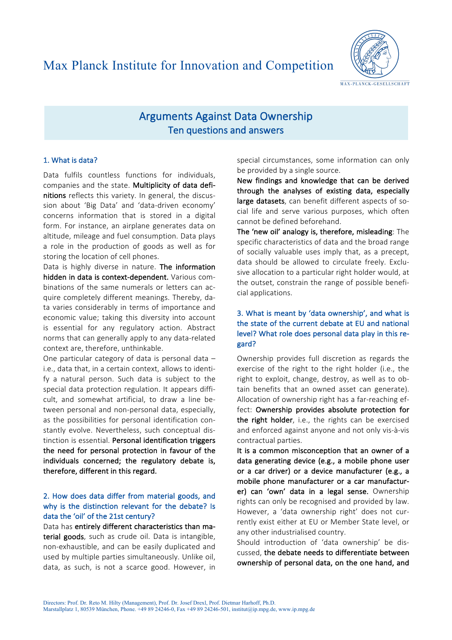

# Arguments Against Data Ownership Ten questions and answers

#### 1. What is data?

Data fulfils countless functions for individuals, companies and the state. Multiplicity of data definitions reflects this variety. In general, the discussion about 'Big Data' and 'data-driven economy' concerns information that is stored in a digital form. For instance, an airplane generates data on altitude, mileage and fuel consumption. Data plays a role in the production of goods as well as for storing the location of cell phones.

Data is highly diverse in nature. The information hidden in data is context-dependent. Various combinations of the same numerals or letters can acquire completely different meanings. Thereby, data varies considerably in terms of importance and economic value; taking this diversity into account is essential for any regulatory action. Abstract norms that can generally apply to any data-related context are, therefore, unthinkable.

One particular category of data is personal data  $$ i.e., data that, in a certain context, allows to identify a natural person. Such data is subject to the special data protection regulation. It appears difficult, and somewhat artificial, to draw a line between personal and non-personal data, especially, as the possibilities for personal identification constantly evolve. Nevertheless, such conceptual distinction is essential. Personal identification triggers the need for personal protection in favour of the individuals concerned; the regulatory debate is, therefore, different in this regard.

## 2. How does data differ from material goods, and why is the distinction relevant for the debate? Is data the 'oil' of the 21st century?

Data has entirely different characteristics than material goods, such as crude oil. Data is intangible, non-exhaustible, and can be easily duplicated and used by multiple parties simultaneously. Unlike oil, data, as such, is not a scarce good. However, in

special circumstances, some information can only be provided by a single source.

New findings and knowledge that can be derived through the analyses of existing data, especially large datasets, can benefit different aspects of social life and serve various purposes, which often cannot be defined beforehand.

The 'new oil' analogy is, therefore, misleading: The specific characteristics of data and the broad range of socially valuable uses imply that, as a precept, data should be allowed to circulate freely. Exclusive allocation to a particular right holder would, at the outset, constrain the range of possible beneficial applications.

## 3. What is meant by 'data ownership', and what is the state of the current debate at EU and national level? What role does personal data play in this regard?

Ownership provides full discretion as regards the exercise of the right to the right holder (i.e., the right to exploit, change, destroy, as well as to obtain benefits that an owned asset can generate). Allocation of ownership right has a far-reaching effect: Ownership provides absolute protection for the right holder, i.e., the rights can be exercised and enforced against anyone and not only vis-à-vis contractual parties.

It is a common misconception that an owner of a data generating device (e.g., a mobile phone user or a car driver) or a device manufacturer (e.g., a mobile phone manufacturer or a car manufacturer) can 'own' data in a legal sense. Ownership rights can only be recognised and provided by law. However, a 'data ownership right' does not currently exist either at EU or Member State level, or any other industrialised country.

Should introduction of 'data ownership' be discussed, the debate needs to differentiate between ownership of personal data, on the one hand, and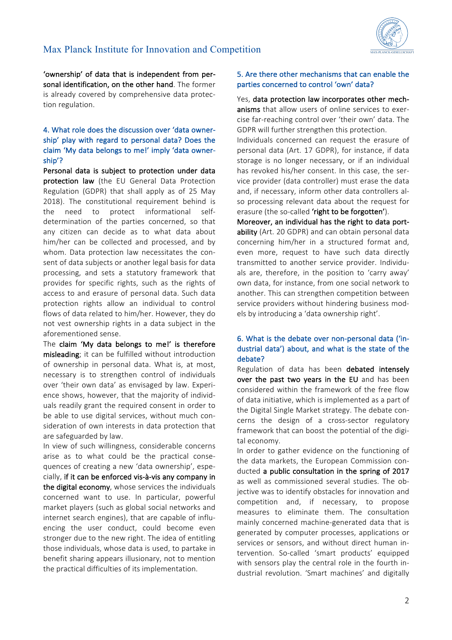

'ownership' of data that is independent from personal identification, on the other hand. The former is already covered by comprehensive data protection regulation.

## 4. What role does the discussion over 'data ownership' play with regard to personal data? Does the claim 'My data belongs to me!' imply 'data ownership'?

Personal data is subject to protection under data protection law (the EU General Data Protection Regulation (GDPR) that shall apply as of 25 May 2018). The constitutional requirement behind is the need to protect informational selfdetermination of the parties concerned, so that any citizen can decide as to what data about him/her can be collected and processed, and by whom. Data protection law necessitates the consent of data subjects or another legal basis for data processing, and sets a statutory framework that provides for specific rights, such as the rights of access to and erasure of personal data. Such data protection rights allow an individual to control flows of data related to him/her. However, they do not vest ownership rights in a data subject in the aforementioned sense.

The claim 'My data belongs to me!' is therefore misleading; it can be fulfilled without introduction of ownership in personal data. What is, at most, necessary is to strengthen control of individuals over 'their own data' as envisaged by law. Experience shows, however, that the majority of individuals readily grant the required consent in order to be able to use digital services, without much consideration of own interests in data protection that are safeguarded by law.

In view of such willingness, considerable concerns arise as to what could be the practical consequences of creating a new 'data ownership', especially, if it can be enforced vis-à-vis any company in the digital economy, whose services the individuals concerned want to use. In particular, powerful market players (such as global social networks and internet search engines), that are capable of influencing the user conduct, could become even stronger due to the new right. The idea of entitling those individuals, whose data is used, to partake in benefit sharing appears illusionary, not to mention the practical difficulties of its implementation.

#### 5. Are there other mechanisms that can enable the parties concerned to control 'own' data?

Yes, data protection law incorporates other mechanisms that allow users of online services to exercise far-reaching control over 'their own' data. The GDPR will further strengthen this protection.

Individuals concerned can request the erasure of personal data (Art. 17 GDPR), for instance, if data storage is no longer necessary, or if an individual has revoked his/her consent. In this case, the service provider (data controller) must erase the data and, if necessary, inform other data controllers also processing relevant data about the request for erasure (the so-called 'right to be forgotten').

Moreover, an individual has the right to data portability (Art. 20 GDPR) and can obtain personal data concerning him/her in a structured format and, even more, request to have such data directly transmitted to another service provider. Individuals are, therefore, in the position to 'carry away' own data, for instance, from one social network to another. This can strengthen competition between service providers without hindering business models by introducing a 'data ownership right'.

## 6. What is the debate over non-personal data ('industrial data') about, and what is the state of the debate?

Regulation of data has been debated intensely over the past two vears in the EU and has been considered within the framework of the free flow of data initiative, which is implemented as a part of the Digital Single Market strategy. The debate concerns the design of a cross-sector regulatory framework that can boost the potential of the digital economy.

In order to gather evidence on the functioning of the data markets, the European Commission conducted a public consultation in the spring of 2017 as well as commissioned several studies. The objective was to identify obstacles for innovation and competition and, if necessary, to propose measures to eliminate them. The consultation mainly concerned machine-generated data that is generated by computer processes, applications or services or sensors, and without direct human intervention. So-called 'smart products' equipped with sensors play the central role in the fourth industrial revolution. 'Smart machines' and digitally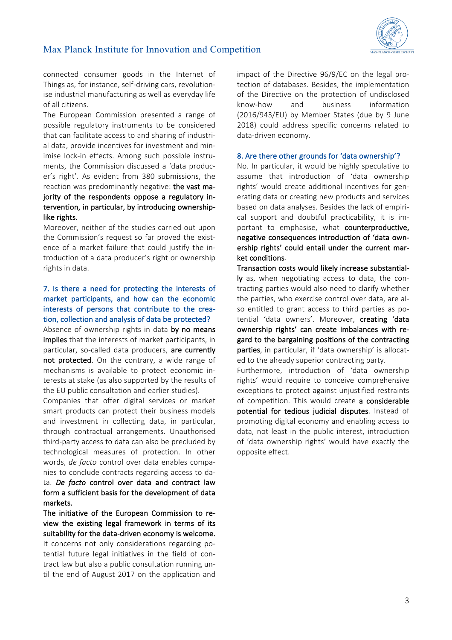

connected consumer goods in the Internet of Things as, for instance, self-driving cars, revolutionise industrial manufacturing as well as everyday life of all citizens.

The European Commission presented a range of possible regulatory instruments to be considered that can facilitate access to and sharing of industrial data, provide incentives for investment and minimise lock-in effects. Among such possible instruments, the Commission discussed a 'data producer's right'. As evident from 380 submissions, the reaction was predominantly negative: the vast majority of the respondents oppose a regulatory intervention, in particular, by introducing ownershiplike rights.

Moreover, neither of the studies carried out upon the Commission's request so far proved the existence of a market failure that could justify the introduction of a data producer's right or ownership rights in data.

## 7. Is there a need for protecting the interests of market participants, and how can the economic interests of persons that contribute to the creation, collection and analysis of data be protected?

Absence of ownership rights in data by no means implies that the interests of market participants, in particular, so-called data producers, are currently not protected. On the contrary, a wide range of mechanisms is available to protect economic interests at stake (as also supported by the results of the EU public consultation and earlier studies).

Companies that offer digital services or market smart products can protect their business models and investment in collecting data, in particular, through contractual arrangements. Unauthorised third-party access to data can also be precluded by technological measures of protection. In other words, *de facto* control over data enables companies to conclude contracts regarding access to da-

ta. *De facto* control over data and contract law form a sufficient basis for the development of data markets.

The initiative of the European Commission to review the existing legal framework in terms of its suitability for the data-driven economy is welcome. It concerns not only considerations regarding potential future legal initiatives in the field of contract law but also a public consultation running until the end of August 2017 on the application and

impact of the Directive 96/9/EC on the legal protection of databases. Besides, the implementation of the Directive on the protection of undisclosed know-how and business information (2016/943/EU) by Member States (due by 9 June 2018) could address specific concerns related to data-driven economy.

#### 8. Are there other grounds for 'data ownership'?

No. In particular, it would be highly speculative to assume that introduction of 'data ownership rights' would create additional incentives for generating data or creating new products and services based on data analyses. Besides the lack of empirical support and doubtful practicability, it is important to emphasise, what counterproductive, negative consequences introduction of 'data ownership rights' could entail under the current market conditions.

Transaction costs would likely increase substantially as, when negotiating access to data, the contracting parties would also need to clarify whether the parties, who exercise control over data, are also entitled to grant access to third parties as potential 'data owners'. Moreover, creating 'data ownership rights' can create imbalances with regard to the bargaining positions of the contracting parties, in particular, if 'data ownership' is allocated to the already superior contracting party.

Furthermore, introduction of 'data ownership rights' would require to conceive comprehensive exceptions to protect against unjustified restraints of competition. This would create a considerable potential for tedious judicial disputes. Instead of promoting digital economy and enabling access to data, not least in the public interest, introduction of 'data ownership rights' would have exactly the opposite effect.